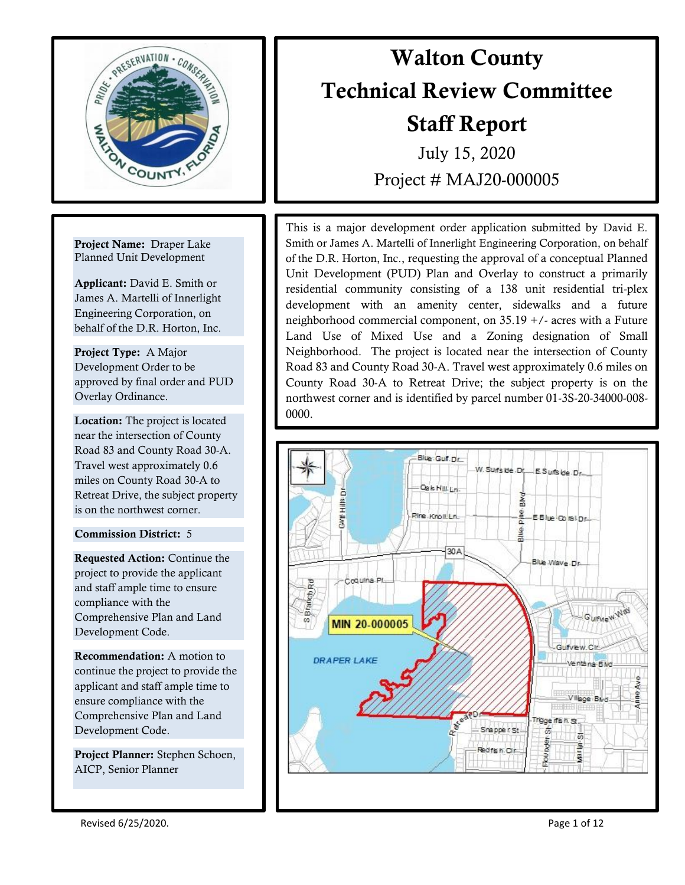

Project Name: Draper Lake Planned Unit Development

Applicant: David E. Smith or James A. Martelli of Innerlight Engineering Corporation, on behalf of the D.R. Horton, Inc.

Project Type: A Major Development Order to be approved by final order and PUD Overlay Ordinance.

I

Location: The project is located near the intersection of County Road 83 and County Road 30-A. Travel west approximately 0.6 miles on County Road 30-A to Retreat Drive, the subject property is on the northwest corner.

# Commission District: 5

Requested Action: Continue the project to provide the applicant and staff ample time to ensure compliance with the Comprehensive Plan and Land Development Code.

Recommendation: A motion to continue the project to provide the applicant and staff ample time to ensure compliance with the Comprehensive Plan and Land Development Code.

Project Planner: Stephen Schoen, AICP, Senior Planner

# Walton County Technical Review Committee Staff Report

July 15, 2020 Project # MAJ20-000005

Road 85 and County Road 50-A. Travel west approximately 0.0 limes on<br>County Road 30-A to Retreat Drive; the subject property is on the This is a major development order application submitted by David E. Smith or James A. Martelli of Innerlight Engineering Corporation, on behalf of the D.R. Horton, Inc., requesting the approval of a conceptual Planned Unit Development (PUD) Plan and Overlay to construct a primarily residential community consisting of a 138 unit residential tri-plex development with an amenity center, sidewalks and a future neighborhood commercial component, on 35.19 +/- acres with a Future Land Use of Mixed Use and a Zoning designation of Small Neighborhood. The project is located near the intersection of County Road 83 and County Road 30-A. Travel west approximately 0.6 miles on northwest corner and is identified by parcel number 01-3S-20-34000-008- 0000.



Revised 6/25/2020. **Page 1 of 12** and 20 and 20 and 20 and 20 and 20 and 20 and 20 and 20 and 20 and 20 and 20 and 20 and 20 and 20 and 20 and 20 and 20 and 20 and 20 and 20 and 20 and 20 and 20 and 20 and 20 and 20 and 20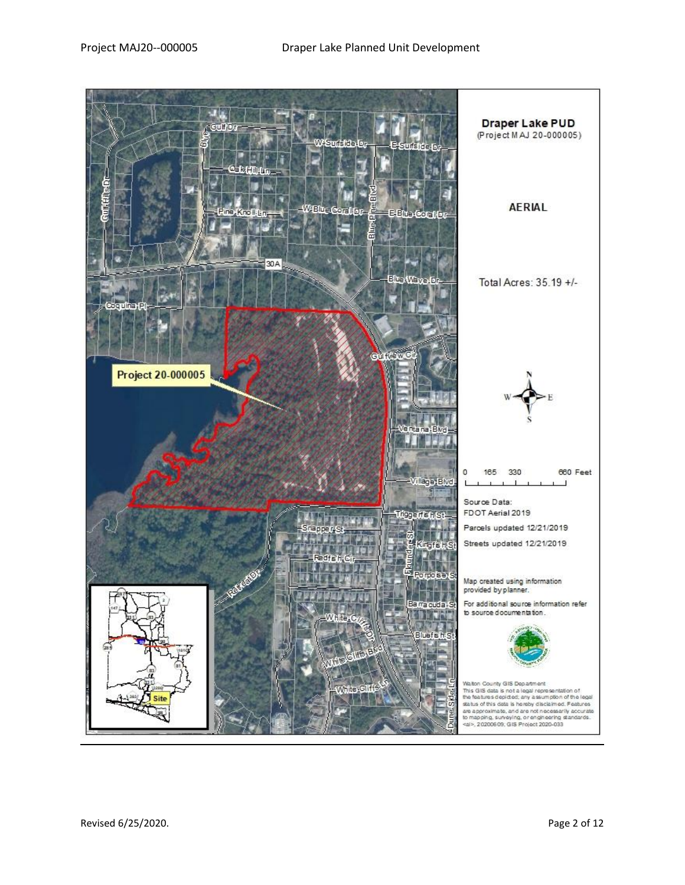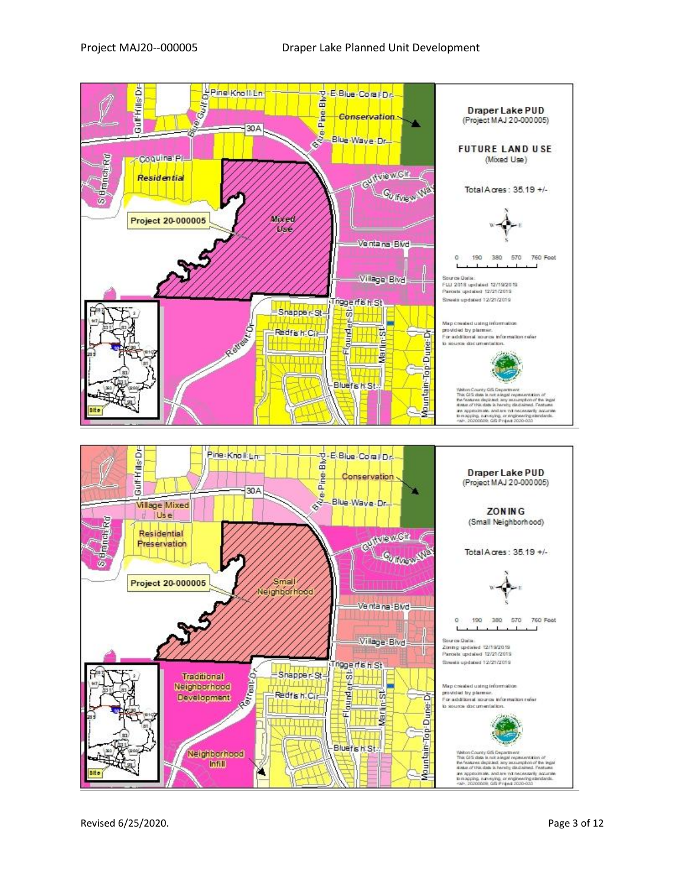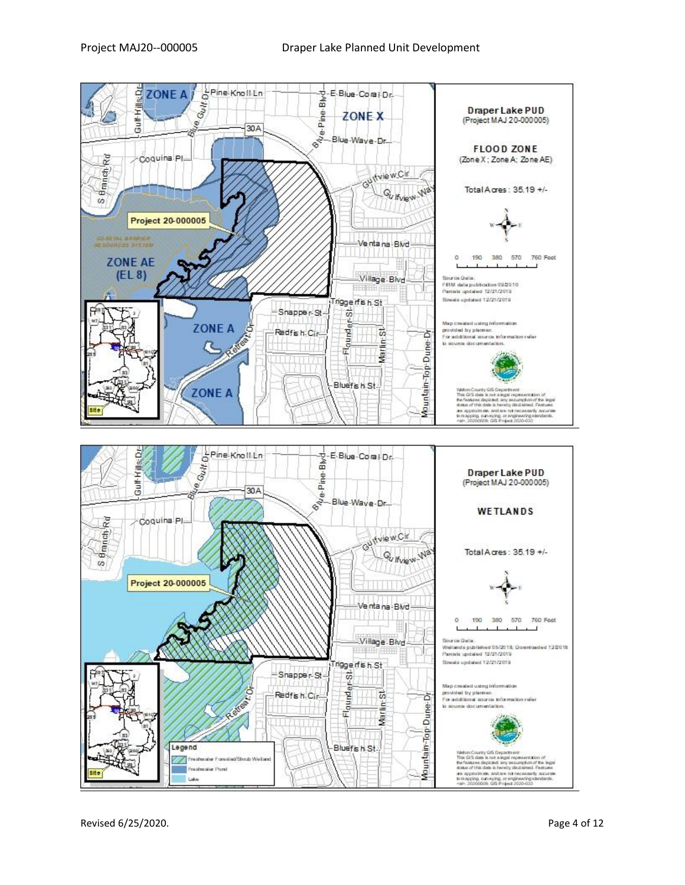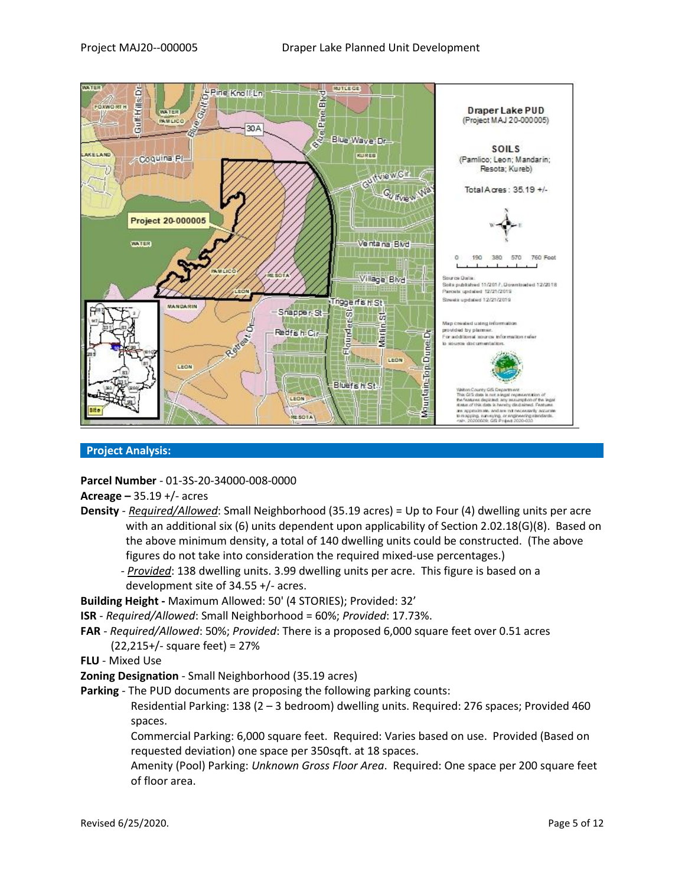

## **Project Analysis:**

**Parcel Number** - 01-3S-20-34000-008-0000

**Acreage –** 35.19 +/- acres

- **Density** *Required/Allowed*: Small Neighborhood (35.19 acres) = Up to Four (4) dwelling units per acre with an additional six (6) units dependent upon applicability of Section 2.02.18(G)(8). Based on the above minimum density, a total of 140 dwelling units could be constructed. (The above figures do not take into consideration the required mixed-use percentages.)
	- *- Provided*: 138 dwelling units. 3.99 dwelling units per acre. This figure is based on a development site of 34.55 +/- acres.

**Building Height -** Maximum Allowed: 50' (4 STORIES); Provided: 32'

- **ISR** *Required/Allowed*: Small Neighborhood = 60%; *Provided*: 17.73%.
- **FAR** *Required/Allowed*: 50%; *Provided*: There is a proposed 6,000 square feet over 0.51 acres (22,215+/- square feet) = 27%

**FLU** - Mixed Use

**Zoning Designation** - Small Neighborhood (35.19 acres)

**Parking** - The PUD documents are proposing the following parking counts:

Residential Parking: 138 (2 – 3 bedroom) dwelling units. Required: 276 spaces; Provided 460 spaces.

Commercial Parking: 6,000 square feet. Required: Varies based on use. Provided (Based on requested deviation) one space per 350sqft. at 18 spaces.

Amenity (Pool) Parking: *Unknown Gross Floor Area*. Required: One space per 200 square feet of floor area.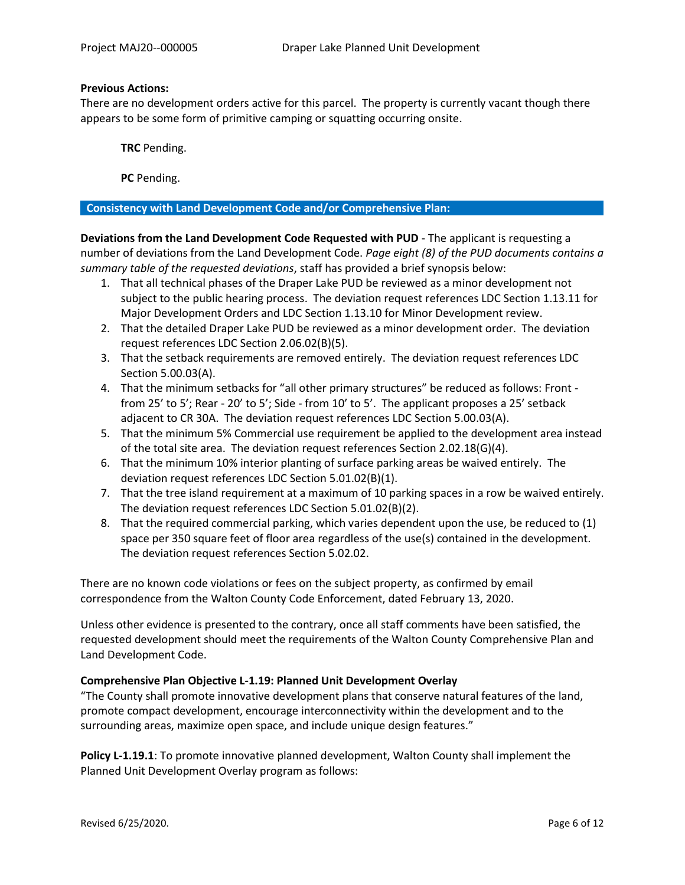## **Previous Actions:**

There are no development orders active for this parcel. The property is currently vacant though there appears to be some form of primitive camping or squatting occurring onsite.

**TRC** Pending.

**PC** Pending.

## **Consistency with Land Development Code and/or Comprehensive Plan:**

**Deviations from the Land Development Code Requested with PUD** - The applicant is requesting a number of deviations from the Land Development Code. *Page eight (8) of the PUD documents contains a summary table of the requested deviations*, staff has provided a brief synopsis below:

- 1. That all technical phases of the Draper Lake PUD be reviewed as a minor development not subject to the public hearing process. The deviation request references LDC Section 1.13.11 for Major Development Orders and LDC Section 1.13.10 for Minor Development review.
- 2. That the detailed Draper Lake PUD be reviewed as a minor development order. The deviation request references LDC Section 2.06.02(B)(5).
- 3. That the setback requirements are removed entirely. The deviation request references LDC Section 5.00.03(A).
- 4. That the minimum setbacks for "all other primary structures" be reduced as follows: Front from 25' to 5'; Rear - 20' to 5'; Side - from 10' to 5'. The applicant proposes a 25' setback adjacent to CR 30A. The deviation request references LDC Section 5.00.03(A).
- 5. That the minimum 5% Commercial use requirement be applied to the development area instead of the total site area. The deviation request references Section 2.02.18(G)(4).
- 6. That the minimum 10% interior planting of surface parking areas be waived entirely. The deviation request references LDC Section 5.01.02(B)(1).
- 7. That the tree island requirement at a maximum of 10 parking spaces in a row be waived entirely. The deviation request references LDC Section 5.01.02(B)(2).
- 8. That the required commercial parking, which varies dependent upon the use, be reduced to (1) space per 350 square feet of floor area regardless of the use(s) contained in the development. The deviation request references Section 5.02.02.

There are no known code violations or fees on the subject property, as confirmed by email correspondence from the Walton County Code Enforcement, dated February 13, 2020.

Unless other evidence is presented to the contrary, once all staff comments have been satisfied, the requested development should meet the requirements of the Walton County Comprehensive Plan and Land Development Code.

# **Comprehensive Plan Objective L-1.19: Planned Unit Development Overlay**

"The County shall promote innovative development plans that conserve natural features of the land, promote compact development, encourage interconnectivity within the development and to the surrounding areas, maximize open space, and include unique design features."

**Policy L-1.19.1**: To promote innovative planned development, Walton County shall implement the Planned Unit Development Overlay program as follows: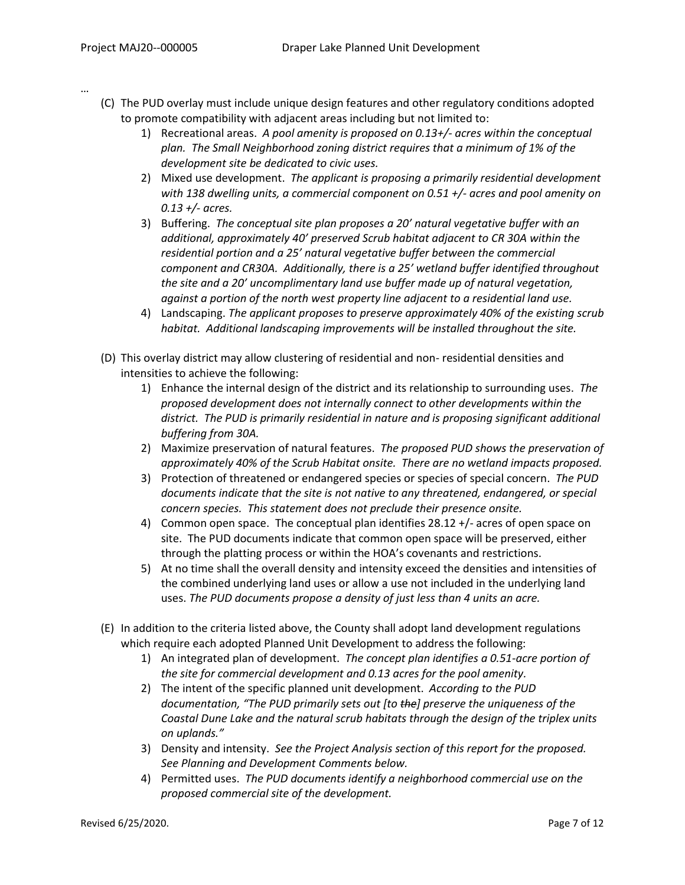…

- (C) The PUD overlay must include unique design features and other regulatory conditions adopted to promote compatibility with adjacent areas including but not limited to:
	- 1) Recreational areas. *A pool amenity is proposed on 0.13+/- acres within the conceptual plan. The Small Neighborhood zoning district requires that a minimum of 1% of the development site be dedicated to civic uses.*
	- 2) Mixed use development. *The applicant is proposing a primarily residential development with 138 dwelling units, a commercial component on 0.51 +/- acres and pool amenity on 0.13 +/- acres.*
	- 3) Buffering. *The conceptual site plan proposes a 20' natural vegetative buffer with an additional, approximately 40' preserved Scrub habitat adjacent to CR 30A within the residential portion and a 25' natural vegetative buffer between the commercial component and CR30A. Additionally, there is a 25' wetland buffer identified throughout the site and a 20' uncomplimentary land use buffer made up of natural vegetation, against a portion of the north west property line adjacent to a residential land use.*
	- 4) Landscaping. *The applicant proposes to preserve approximately 40% of the existing scrub habitat. Additional landscaping improvements will be installed throughout the site.*
- (D) This overlay district may allow clustering of residential and non- residential densities and intensities to achieve the following:
	- 1) Enhance the internal design of the district and its relationship to surrounding uses. *The proposed development does not internally connect to other developments within the district. The PUD is primarily residential in nature and is proposing significant additional buffering from 30A.*
	- 2) Maximize preservation of natural features. *The proposed PUD shows the preservation of approximately 40% of the Scrub Habitat onsite. There are no wetland impacts proposed.*
	- 3) Protection of threatened or endangered species or species of special concern. *The PUD documents indicate that the site is not native to any threatened, endangered, or special concern species. This statement does not preclude their presence onsite.*
	- 4) Common open space. The conceptual plan identifies 28.12 +/- acres of open space on site. The PUD documents indicate that common open space will be preserved, either through the platting process or within the HOA's covenants and restrictions.
	- 5) At no time shall the overall density and intensity exceed the densities and intensities of the combined underlying land uses or allow a use not included in the underlying land uses. *The PUD documents propose a density of just less than 4 units an acre.*
- (E) In addition to the criteria listed above, the County shall adopt land development regulations which require each adopted Planned Unit Development to address the following:
	- 1) An integrated plan of development. *The concept plan identifies a 0.51-acre portion of the site for commercial development and 0.13 acres for the pool amenity.*
	- 2) The intent of the specific planned unit development. *According to the PUD documentation, "The PUD primarily sets out [to the] preserve the uniqueness of the Coastal Dune Lake and the natural scrub habitats through the design of the triplex units on uplands."*
	- 3) Density and intensity. *See the Project Analysis section of this report for the proposed. See Planning and Development Comments below.*
	- 4) Permitted uses. *The PUD documents identify a neighborhood commercial use on the proposed commercial site of the development.*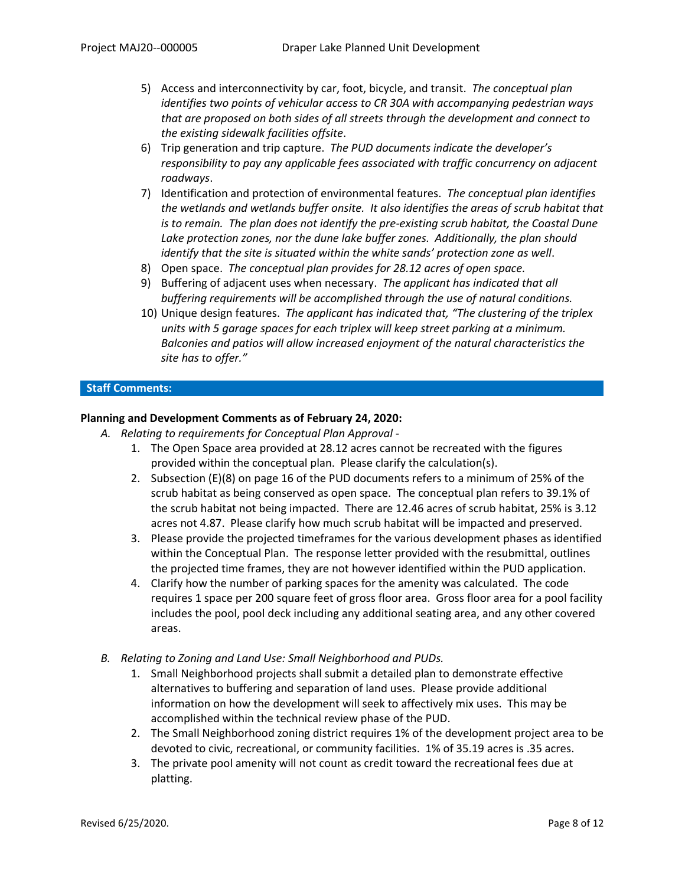- 5) Access and interconnectivity by car, foot, bicycle, and transit. *The conceptual plan identifies two points of vehicular access to CR 30A with accompanying pedestrian ways that are proposed on both sides of all streets through the development and connect to the existing sidewalk facilities offsite*.
- 6) Trip generation and trip capture. *The PUD documents indicate the developer's responsibility to pay any applicable fees associated with traffic concurrency on adjacent roadways*.
- 7) Identification and protection of environmental features. *The conceptual plan identifies the wetlands and wetlands buffer onsite. It also identifies the areas of scrub habitat that is to remain. The plan does not identify the pre-existing scrub habitat, the Coastal Dune Lake protection zones, nor the dune lake buffer zones. Additionally, the plan should identify that the site is situated within the white sands' protection zone as well*.
- 8) Open space. *The conceptual plan provides for 28.12 acres of open space.*
- 9) Buffering of adjacent uses when necessary. *The applicant has indicated that all buffering requirements will be accomplished through the use of natural conditions.*
- 10) Unique design features. *The applicant has indicated that, "The clustering of the triplex units with 5 garage spaces for each triplex will keep street parking at a minimum. Balconies and patios will allow increased enjoyment of the natural characteristics the site has to offer."*

# **Staff Comments:**

# **Planning and Development Comments as of February 24, 2020:**

- *A. Relating to requirements for Conceptual Plan Approval -*
	- 1. The Open Space area provided at 28.12 acres cannot be recreated with the figures provided within the conceptual plan. Please clarify the calculation(s).
	- 2. Subsection (E)(8) on page 16 of the PUD documents refers to a minimum of 25% of the scrub habitat as being conserved as open space. The conceptual plan refers to 39.1% of the scrub habitat not being impacted. There are 12.46 acres of scrub habitat, 25% is 3.12 acres not 4.87. Please clarify how much scrub habitat will be impacted and preserved.
	- 3. Please provide the projected timeframes for the various development phases as identified within the Conceptual Plan. The response letter provided with the resubmittal, outlines the projected time frames, they are not however identified within the PUD application.
	- 4. Clarify how the number of parking spaces for the amenity was calculated. The code requires 1 space per 200 square feet of gross floor area. Gross floor area for a pool facility includes the pool, pool deck including any additional seating area, and any other covered areas.
- *B. Relating to Zoning and Land Use: Small Neighborhood and PUDs.*
	- 1. Small Neighborhood projects shall submit a detailed plan to demonstrate effective alternatives to buffering and separation of land uses. Please provide additional information on how the development will seek to affectively mix uses. This may be accomplished within the technical review phase of the PUD.
	- 2. The Small Neighborhood zoning district requires 1% of the development project area to be devoted to civic, recreational, or community facilities. 1% of 35.19 acres is .35 acres.
	- 3. The private pool amenity will not count as credit toward the recreational fees due at platting.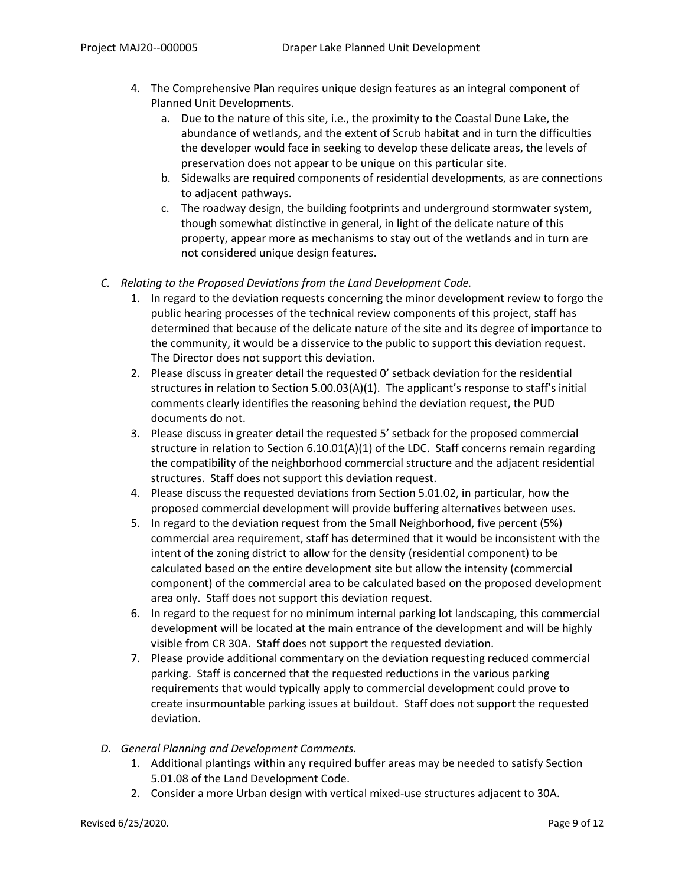- 4. The Comprehensive Plan requires unique design features as an integral component of Planned Unit Developments.
	- a. Due to the nature of this site, i.e., the proximity to the Coastal Dune Lake, the abundance of wetlands, and the extent of Scrub habitat and in turn the difficulties the developer would face in seeking to develop these delicate areas, the levels of preservation does not appear to be unique on this particular site.
	- b. Sidewalks are required components of residential developments, as are connections to adjacent pathways.
	- c. The roadway design, the building footprints and underground stormwater system, though somewhat distinctive in general, in light of the delicate nature of this property, appear more as mechanisms to stay out of the wetlands and in turn are not considered unique design features.
- *C. Relating to the Proposed Deviations from the Land Development Code.*
	- 1. In regard to the deviation requests concerning the minor development review to forgo the public hearing processes of the technical review components of this project, staff has determined that because of the delicate nature of the site and its degree of importance to the community, it would be a disservice to the public to support this deviation request. The Director does not support this deviation.
	- 2. Please discuss in greater detail the requested 0' setback deviation for the residential structures in relation to Section 5.00.03(A)(1). The applicant's response to staff's initial comments clearly identifies the reasoning behind the deviation request, the PUD documents do not.
	- 3. Please discuss in greater detail the requested 5' setback for the proposed commercial structure in relation to Section 6.10.01(A)(1) of the LDC. Staff concerns remain regarding the compatibility of the neighborhood commercial structure and the adjacent residential structures. Staff does not support this deviation request.
	- 4. Please discuss the requested deviations from Section 5.01.02, in particular, how the proposed commercial development will provide buffering alternatives between uses.
	- 5. In regard to the deviation request from the Small Neighborhood, five percent (5%) commercial area requirement, staff has determined that it would be inconsistent with the intent of the zoning district to allow for the density (residential component) to be calculated based on the entire development site but allow the intensity (commercial component) of the commercial area to be calculated based on the proposed development area only. Staff does not support this deviation request.
	- 6. In regard to the request for no minimum internal parking lot landscaping, this commercial development will be located at the main entrance of the development and will be highly visible from CR 30A. Staff does not support the requested deviation.
	- 7. Please provide additional commentary on the deviation requesting reduced commercial parking. Staff is concerned that the requested reductions in the various parking requirements that would typically apply to commercial development could prove to create insurmountable parking issues at buildout. Staff does not support the requested deviation.
- *D. General Planning and Development Comments.*
	- 1. Additional plantings within any required buffer areas may be needed to satisfy Section 5.01.08 of the Land Development Code.
	- 2. Consider a more Urban design with vertical mixed-use structures adjacent to 30A.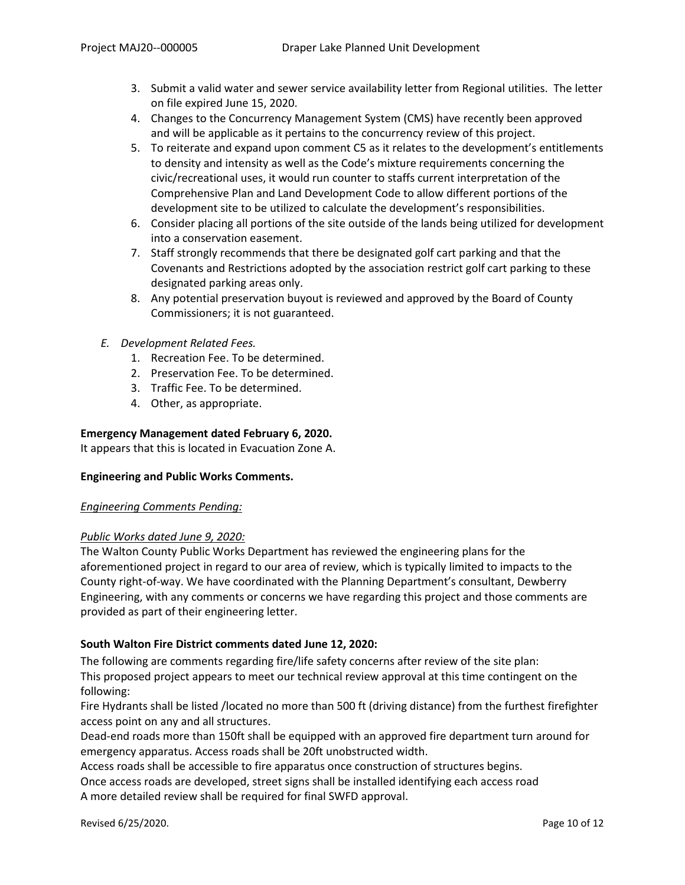- 3. Submit a valid water and sewer service availability letter from Regional utilities. The letter on file expired June 15, 2020.
- 4. Changes to the Concurrency Management System (CMS) have recently been approved and will be applicable as it pertains to the concurrency review of this project.
- 5. To reiterate and expand upon comment C5 as it relates to the development's entitlements to density and intensity as well as the Code's mixture requirements concerning the civic/recreational uses, it would run counter to staffs current interpretation of the Comprehensive Plan and Land Development Code to allow different portions of the development site to be utilized to calculate the development's responsibilities.
- 6. Consider placing all portions of the site outside of the lands being utilized for development into a conservation easement.
- 7. Staff strongly recommends that there be designated golf cart parking and that the Covenants and Restrictions adopted by the association restrict golf cart parking to these designated parking areas only.
- 8. Any potential preservation buyout is reviewed and approved by the Board of County Commissioners; it is not guaranteed.
- *E. Development Related Fees.*
	- 1. Recreation Fee. To be determined.
	- 2. Preservation Fee. To be determined.
	- 3. Traffic Fee. To be determined.
	- 4. Other, as appropriate.

# **Emergency Management dated February 6, 2020.**

It appears that this is located in Evacuation Zone A.

# **Engineering and Public Works Comments.**

#### *Engineering Comments Pending:*

# *Public Works dated June 9, 2020:*

The Walton County Public Works Department has reviewed the engineering plans for the aforementioned project in regard to our area of review, which is typically limited to impacts to the County right-of-way. We have coordinated with the Planning Department's consultant, Dewberry Engineering, with any comments or concerns we have regarding this project and those comments are provided as part of their engineering letter.

# **South Walton Fire District comments dated June 12, 2020:**

The following are comments regarding fire/life safety concerns after review of the site plan: This proposed project appears to meet our technical review approval at this time contingent on the following:

Fire Hydrants shall be listed /located no more than 500 ft (driving distance) from the furthest firefighter access point on any and all structures.

Dead-end roads more than 150ft shall be equipped with an approved fire department turn around for emergency apparatus. Access roads shall be 20ft unobstructed width.

Access roads shall be accessible to fire apparatus once construction of structures begins.

Once access roads are developed, street signs shall be installed identifying each access road A more detailed review shall be required for final SWFD approval.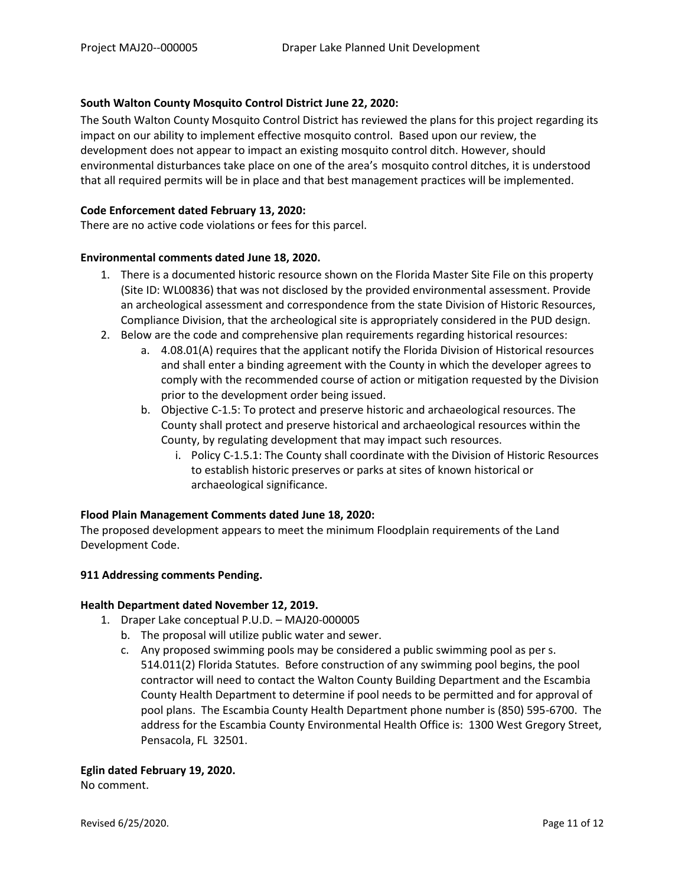# **South Walton County Mosquito Control District June 22, 2020:**

The South Walton County Mosquito Control District has reviewed the plans for this project regarding its impact on our ability to implement effective mosquito control. Based upon our review, the development does not appear to impact an existing mosquito control ditch. However, should environmental disturbances take place on one of the area's mosquito control ditches, it is understood that all required permits will be in place and that best management practices will be implemented.

## **Code Enforcement dated February 13, 2020:**

There are no active code violations or fees for this parcel.

## **Environmental comments dated June 18, 2020.**

- 1. There is a documented historic resource shown on the Florida Master Site File on this property (Site ID: WL00836) that was not disclosed by the provided environmental assessment. Provide an archeological assessment and correspondence from the state Division of Historic Resources, Compliance Division, that the archeological site is appropriately considered in the PUD design.
- 2. Below are the code and comprehensive plan requirements regarding historical resources:
	- a. 4.08.01(A) requires that the applicant notify the Florida Division of Historical resources and shall enter a binding agreement with the County in which the developer agrees to comply with the recommended course of action or mitigation requested by the Division prior to the development order being issued.
	- b. Objective C-1.5: To protect and preserve historic and archaeological resources. The County shall protect and preserve historical and archaeological resources within the County, by regulating development that may impact such resources.
		- i. Policy C-1.5.1: The County shall coordinate with the Division of Historic Resources to establish historic preserves or parks at sites of known historical or archaeological significance.

# **Flood Plain Management Comments dated June 18, 2020:**

The proposed development appears to meet the minimum Floodplain requirements of the Land Development Code.

# **911 Addressing comments Pending.**

#### **Health Department dated November 12, 2019.**

- 1. Draper Lake conceptual P.U.D. MAJ20-000005
	- b. The proposal will utilize public water and sewer.
	- c. Any proposed swimming pools may be considered a public swimming pool as per s. 514.011(2) Florida Statutes. Before construction of any swimming pool begins, the pool contractor will need to contact the Walton County Building Department and the Escambia County Health Department to determine if pool needs to be permitted and for approval of pool plans. The Escambia County Health Department phone number is (850) 595-6700. The address for the Escambia County Environmental Health Office is: 1300 West Gregory Street, Pensacola, FL 32501.

# **Eglin dated February 19, 2020.**

No comment.